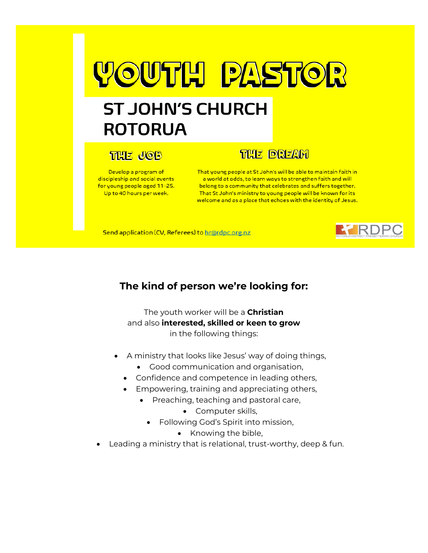# **YOUTH PASTOR**

# **ST JOHN'S CHURCH ROTORUA**

## **THE JOB**

Develop a program of discipleship and social events for young people aged 11-25. Up to 40 hours per week.

### **THE DREAM**

That young people at St John's will be able to maintain faith in a world at odds, to learn ways to strengthen faith and will belong to a community that celebrates and suffers together. That St John's ministry to young people will be known for its welcome and as a place that echoes with the identity of Jesus.

Send application (CV, Referees) to hr@rdpc.org.nz



#### **The kind of person we're looking for:**

The youth worker will be a **Christian** and also **interested, skilled or keen to grow** in the following things:

- A ministry that looks like Jesus' way of doing things,
	- Good communication and organisation,
	- Confidence and competence in leading others,
	- Empowering, training and appreciating others,
		- Preaching, teaching and pastoral care,
			- Computer skills,
			- Following God's Spirit into mission,
				- Knowing the bible,
- Leading a ministry that is relational, trust-worthy, deep & fun.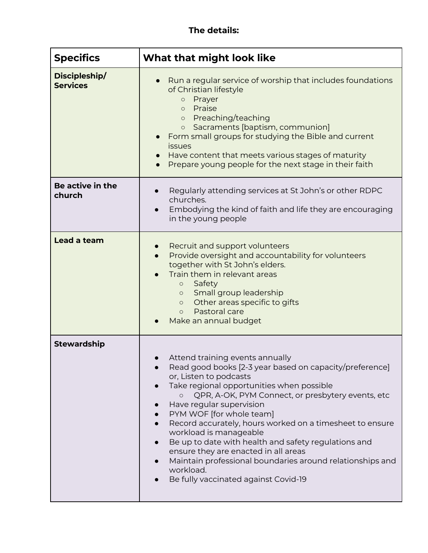#### **The details:**

| <b>Specifics</b>                 | What that might look like                                                                                                                                                                                                                                                                                                                                                                                                                                                                                                                                                                         |
|----------------------------------|---------------------------------------------------------------------------------------------------------------------------------------------------------------------------------------------------------------------------------------------------------------------------------------------------------------------------------------------------------------------------------------------------------------------------------------------------------------------------------------------------------------------------------------------------------------------------------------------------|
| Discipleship/<br><b>Services</b> | Run a regular service of worship that includes foundations<br>of Christian lifestyle<br>Prayer<br>$\bigcirc$<br>Praise<br>$\circ$<br>Preaching/teaching<br>$\circ$<br>Sacraments [baptism, communion]<br>$\bigcirc$<br>Form small groups for studying the Bible and current<br>issues<br>Have content that meets various stages of maturity<br>Prepare young people for the next stage in their faith                                                                                                                                                                                             |
| Be active in the<br>church       | Regularly attending services at St John's or other RDPC<br>churches.<br>Embodying the kind of faith and life they are encouraging<br>in the young people                                                                                                                                                                                                                                                                                                                                                                                                                                          |
| Lead a team                      | Recruit and support volunteers<br>Provide oversight and accountability for volunteers<br>together with St John's elders.<br>Train them in relevant areas<br>Safety<br>$\circ$<br>Small group leadership<br>$\circ$<br>Other areas specific to gifts<br>$\circ$<br>Pastoral care<br>$\Omega$<br>Make an annual budget                                                                                                                                                                                                                                                                              |
| <b>Stewardship</b>               | Attend training events annually<br>Read good books [2-3 year based on capacity/preference]<br>or, Listen to podcasts<br>Take regional opportunities when possible<br>QPR, A-OK, PYM Connect, or presbytery events, etc<br>$\circ$<br>Have regular supervision<br>PYM WOF [for whole team]<br>Record accurately, hours worked on a timesheet to ensure<br>workload is manageable<br>Be up to date with health and safety regulations and<br>ensure they are enacted in all areas<br>Maintain professional boundaries around relationships and<br>workload.<br>Be fully vaccinated against Covid-19 |